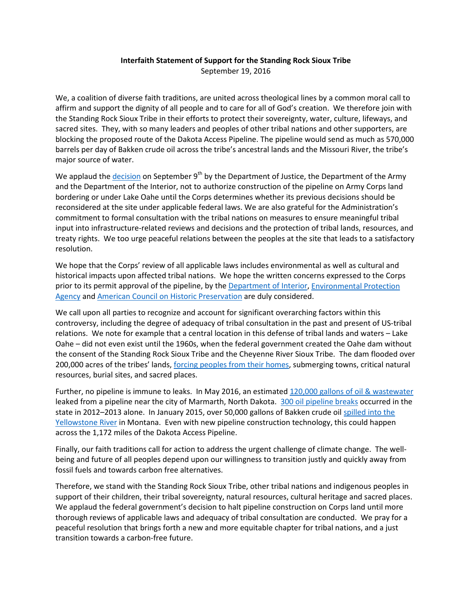## **Interfaith Statement of Support for the Standing Rock Sioux Tribe** September 19, 2016

We, a coalition of diverse faith traditions, are united across theological lines by a common moral call to affirm and support the dignity of all people and to care for all of God's creation. We therefore join with the Standing Rock Sioux Tribe in their efforts to protect their sovereignty, water, culture, lifeways, and sacred sites. They, with so many leaders and peoples of other tribal nations and other supporters, are blocking the proposed route of the Dakota Access Pipeline. The pipeline would send as much as 570,000 barrels per day of Bakken crude oil across the tribe's ancestral lands and the Missouri River, the tribe's major source of water.

We applaud the [decision](https://www.justice.gov/opa/pr/joint-statement-department-justice-department-army-and-department-interior-regarding-standing) on September  $9<sup>th</sup>$  by the Department of Justice, the Department of the Army and the Department of the Interior, not to authorize construction of the pipeline on Army Corps land bordering or under Lake Oahe until the Corps determines whether its previous decisions should be reconsidered at the site under applicable federal laws. We are also grateful for the Administration's commitment to formal consultation with the tribal nations on measures to ensure meaningful tribal input into infrastructure-related reviews and decisions and the protection of tribal lands, resources, and treaty rights. We too urge peaceful relations between the peoples at the site that leads to a satisfactory resolution.

We hope that the Corps' review of all applicable laws includes environmental as well as cultural and historical impacts upon affected tribal nations. We hope the written concerns expressed to the Corps prior to its permit approval of the pipeline, by the [Department of Interior,](http://indigenousrising.org/wp-content/uploads/2016/04/DOI-Signed-Standing-Rock-Corps-Letter.pdf) [Environmental Protection](http://indigenousrising.org/wp-content/uploads/2016/04/Dakota-Access-2nd-DEA-cmts-3-11-16.pdf)  [Agency](http://indigenousrising.org/wp-content/uploads/2016/04/Dakota-Access-2nd-DEA-cmts-3-11-16.pdf) and [American Council on Historic Preservation](http://indigenousrising.org/wp-content/uploads/2016/04/nd-sd-ia-il-coe-r-dakota-access-pipeline-project-con-15mar16.pdf) are duly considered.

We call upon all parties to recognize and account for significant overarching factors within this controversy, including the degree of adequacy of tribal consultation in the past and present of US-tribal relations. We note for example that a central location in this defense of tribal lands and waters – Lake Oahe – did not even exist until the 1960s, when the federal government created the Oahe dam without the consent of the Standing Rock Sioux Tribe and the Cheyenne River Sioux Tribe. The dam flooded over 200,000 acres of the tribes' lands, [forcing peoples from their homes,](http://www.msnbc.com/interactives/geography-of-poverty/nw.html) submerging towns, critical natural resources, burial sites, and sacred places.

Further, no pipeline is immune to leaks. In May 2016, an estimated [120,000 gallons of oil & wastewater](http://oilprice.com/Latest-Energy-News/World-News/North-Dakota-Spill-Leaks-120000-Gallons-of-Oil-Wastewater.html) leaked from a pipeline near the city of Marmarth, North Dakota. [300 oil pipeline breaks](http://oilprice.com/Latest-Energy-News/World-News/North-Dakota-Spill-Leaks-120000-Gallons-of-Oil-Wastewater.html) occurred in the state in 2012–2013 alone. In January 2015, over 50,000 gallons of Bakken crude oil [spilled into the](http://billingsgazette.com/news/state-and-regional/montana/crews-to-clean-up-oil-spilled-into-yellowstone-river-from/article_89bcd50d-60ed-5a98-9a3d-4cecffa020e4.html)  [Yellowstone River](http://billingsgazette.com/news/state-and-regional/montana/crews-to-clean-up-oil-spilled-into-yellowstone-river-from/article_89bcd50d-60ed-5a98-9a3d-4cecffa020e4.html) in Montana. Even with new pipeline construction technology, this could happen across the 1,172 miles of the Dakota Access Pipeline.

Finally, our faith traditions call for action to address the urgent challenge of climate change. The wellbeing and future of all peoples depend upon our willingness to transition justly and quickly away from fossil fuels and towards carbon free alternatives.

Therefore, we stand with the Standing Rock Sioux Tribe, other tribal nations and indigenous peoples in support of their children, their tribal sovereignty, natural resources, cultural heritage and sacred places. We applaud the federal government's decision to halt pipeline construction on Corps land until more thorough reviews of applicable laws and adequacy of tribal consultation are conducted. We pray for a peaceful resolution that brings forth a new and more equitable chapter for tribal nations, and a just transition towards a carbon-free future.